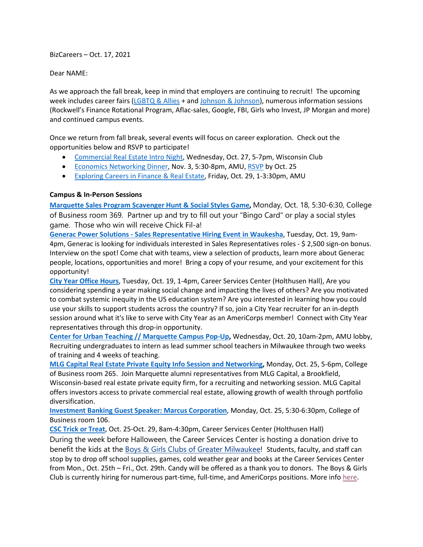BizCareers – Oct. 17, 2021

Dear NAME:

As we approach the fall break, keep in mind that employers are continuing to recruit! The upcoming week includes career fairs (LGBTQ [& Allies](https://marquette.joinhandshake.com/events/858194/share_preview) + and [Johnson & Johnson\)](https://marquette.joinhandshake.com/events/856606/share_preview), numerous information sessions (Rockwell's Finance Rotational Program, Aflac-sales, Google, FBI, Girls who Invest, JP Morgan and more) and continued campus events.

Once we return from fall break, several events will focus on career exploration. Check out the opportunities below and RSVP to participate!

- [Commercial Real Estate Intro Night,](https://marquette.joinhandshake.com/events/874421/share_preview) Wednesday, Oct. 27, 5-7pm, Wisconsin Club
- [Economics Networking](https://marquette.joinhandshake.com/events/872694/share_preview) Dinner, Nov. 3, 5:30-8pm, AMU[, RSVP](https://marquette.joinhandshake.com/events/872694/share_preview) by Oct. 25
- [Exploring Careers in Finance & Real Estate,](https://marquette.joinhandshake.com/events/876488/share_preview) Friday, Oct. 29, 1-3:30pm, AMU

## **Campus & In-Person Sessions**

**[Marquette Sales Program Scavenger Hunt & Social Styles Game,](https://marquette.joinhandshake.com/events/877277/share_preview)** Monday, Oct. 18, 5:30-6:30, College of Business room 369. Partner up and try to fill out your "Bingo Card" or play a social styles game. Those who win will receive Chick Fil-a!

**Generac Power Solutions - [Sales Representative Hiring Event in Waukesha](https://marquette.joinhandshake.com/events/872598/share_preview)**, Tuesday, Oct. 19, 9am-4pm, Generac is looking for individuals interested in Sales Representatives roles - \$ 2,500 sign-on bonus. Interview on the spot! Come chat with teams, view a selection of products, learn more about Generac people, locations, opportunities and more! Bring a copy of your resume, and your excitement for this opportunity!

**[City Year Office Hours](https://marquette.joinhandshake.com/events/850239/share_preview)**, Tuesday, Oct. 19, 1-4pm, Career Services Center (Holthusen Hall), Are you considering spending a year making social change and impacting the lives of others? Are you motivated to combat systemic inequity in the US education system? Are you interested in learning how you could use your skills to support students across the country? If so, join a City Year recruiter for an in-depth session around what it's like to serve with City Year as an AmeriCorps member! Connect with City Year representatives through this drop-in opportunity.

**[Center for Urban Teaching // Marquette Campus Pop-Up,](https://marquette.joinhandshake.com/events/809016/share_preview)** Wednesday, Oct. 20, 10am-2pm, AMU lobby, Recruiting undergraduates to intern as lead summer school teachers in Milwaukee through two weeks of training and 4 weeks of teaching.

**[MLG Capital Real Estate Private Equity Info Session and Networking,](https://marquette.joinhandshake.com/events/872036/share_preview)** Monday, Oct. 25, 5-6pm, College of Business room 265. Join Marquette alumni representatives from MLG Capital, a Brookfield, Wisconsin-based real estate private equity firm, for a recruiting and networking session. MLG Capital offers investors access to private commercial real estate, allowing growth of wealth through portfolio diversification.

**[Investment Banking Guest Speaker: Marcus Corporation](https://marquette.joinhandshake.com/events/818288/share_preview)**, Monday, Oct. 25, 5:30-6:30pm, College of Business room 106.

**[CSC Trick or Treat](https://marquette.joinhandshake.com/events/874828/share_preview)**, Oct. 25-Oct. 29, 8am-4:30pm, Career Services Center (Holthusen Hall) During the week before Halloween, the Career Services Center is hosting a donation drive to benefit the kids at the [Boys & Girls Clubs of Greater Milwaukee!](https://nam02.safelinks.protection.outlook.com/?url=https%3A%2F%2Femail.mail.joinhandshake.com%2Fc%2FeJxlkE1uhDAMhU8Du6L8AZlFFlSIC_QAkQmeIR2S0CQsevtm6Ew3lbywvic_P3tRUppZ1lYxwigltKWStZQ1tOnHd0l73g0DJ3SiYyWIA7s1n8H6FfySVrhjY4KrV8V6MOI6Q8e5uUi8dvzCGAgjZzTEgKg3tea8p4oPFZtKOYhfB-aM_-2Kim7fwjfGVPqWdZLIik9biBUfScW6IzudwhENFuAgJf0IhvEpOVzs4YqED_yEJviMPhd6aUkrxAuD28HefOGHtzpDvGHGRZ-jqY7qDhF9E63HFWI-f_BKjstRZ0WFePswawhb_XeGPkOdHtou6nfjD2_vdzk&data=04%7C01%7Ckaren.rinehart%40marquette.edu%7C7af0055465434d2c646a08d9900922e7%7Cabe32f68c72d420db5bd750c63a268e4%7C0%7C0%7C637699191196105073%7CUnknown%7CTWFpbGZsb3d8eyJWIjoiMC4wLjAwMDAiLCJQIjoiV2luMzIiLCJBTiI6Ik1haWwiLCJXVCI6Mn0%3D%7C1000&sdata=vnqkuzAomrPoVVs3p2O0cOkdhmblSxkYODvmjcGcW58%3D&reserved=0) Students, faculty, and staff can stop by to drop off school supplies, games, cold weather gear and books at the Career Services Center from Mon., Oct. 25th – Fri., Oct. 29th. Candy will be offered as a thank you to donors. The Boys & Girls Club is currently hiring for numerous part-time, full-time, and AmeriCorps positions. More info [here.](https://nam02.safelinks.protection.outlook.com/?url=https%3A%2F%2Fwww.bgcmilwaukee.org%2Fcareers%2F&data=04%7C01%7Ckaren.rinehart%40marquette.edu%7C71fd9f412fbe4d276c0508d98f428b33%7Cabe32f68c72d420db5bd750c63a268e4%7C0%7C0%7C637698338220754786%7CUnknown%7CTWFpbGZsb3d8eyJWIjoiMC4wLjAwMDAiLCJQIjoiV2luMzIiLCJBTiI6Ik1haWwiLCJXVCI6Mn0%3D%7C1000&sdata=MnbvMsaOZejzheKYp4uW%2BK9Qsw9iAVIL6vq4Tu2XNII%3D&reserved=0)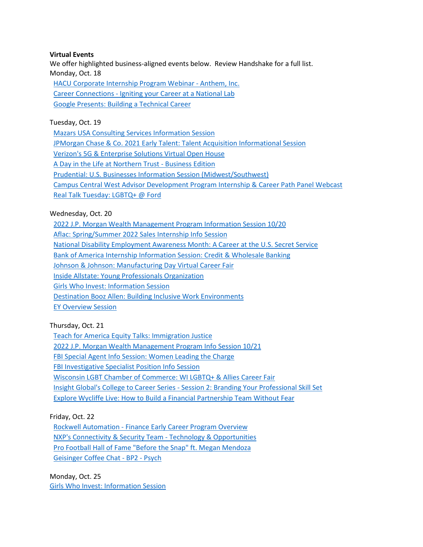### **Virtual Events**

We offer highlighted business-aligned events below. Review Handshake for a full list. Monday, Oct. 18

[HACU Corporate Internship Program Webinar -](https://marquette.joinhandshake.com/events/869374/share_preview) Anthem, Inc. Career Connections - [Igniting your Career at a National Lab](https://marquette.joinhandshake.com/events/867502/share_preview) [Google Presents: Building a Technical Career](https://marquette.joinhandshake.com/events/860671/share_preview)

## Tuesday, Oct. 19

[Mazars USA Consulting Services Information Session](https://marquette.joinhandshake.com/events/874047/share_preview) [JPMorgan Chase & Co. 2021 Early Talent: Talent Acquisition Informational Session](https://marquette.joinhandshake.com/events/872237/share_preview) [Verizon's 5G & Enterprise Solutions Virtual Open House](https://marquette.joinhandshake.com/events/868326/share_preview)  [A Day in the Life at Northern Trust -](https://marquette.joinhandshake.com/events/862279/share_preview) Business Edition [Prudential: U.S. Businesses Information Session \(Midwest/Southwest\)](https://marquette.joinhandshake.com/events/849672/share_preview) [Campus Central West Advisor Development Program Internship & Career Path Panel Webcast](https://marquette.joinhandshake.com/events/845655/share_preview) [Real Talk Tuesday: LGBTQ+ @ Ford](https://marquette.joinhandshake.com/events/799223/share_preview)

## Wednesday, Oct. 20

[2022 J.P. Morgan Wealth Management Program Information Session 10/20](https://marquette.joinhandshake.com/events/873518/share_preview)

[Aflac: Spring/Summer 2022 Sales Internship Info Session](https://marquette.joinhandshake.com/events/873122/share_preview)

[National Disability Employment Awareness Month: A Career at the U.S. Secret Service](https://marquette.joinhandshake.com/events/871705/share_preview) 

[Bank of America Internship Information Session: Credit & Wholesale Banking](https://marquette.joinhandshake.com/events/864434/share_preview) 

[Johnson & Johnson: Manufacturing Day Virtual Career Fair](https://marquette.joinhandshake.com/events/856606/share_preview) 

[Inside Allstate: Young Professionals Organization](https://marquette.joinhandshake.com/events/848251/share_preview)

[Girls Who Invest: Information Session](https://marquette.joinhandshake.com/events/831994/share_preview)

[Destination Booz Allen: Building Inclusive Work Environments](https://marquette.joinhandshake.com/events/830811/share_preview)

[EY Overview Session](https://marquette.joinhandshake.com/events/805821/share_preview)

## Thursday, Oct. 21

[Teach for America Equity Talks: Immigration Justice](https://marquette.joinhandshake.com/events/874328/share_preview)

[2022 J.P. Morgan Wealth Management Program Info Session 10/21](https://marquette.joinhandshake.com/events/873527/share_preview)

[FBI Special Agent Info Session: Women Leading the Charge](https://marquette.joinhandshake.com/events/858748/share_preview)

[FBI Investigative Specialist Position Info Session](https://marquette.joinhandshake.com/events/858705/share_preview)

[Wisconsin LGBT Chamber of Commerce: WI LGBTQ+ & Allies Career Fair](https://marquette.joinhandshake.com/events/858194/share_preview)

Insight Global's College to Career Series - [Session 2: Branding Your Professional Skill Set](https://marquette.joinhandshake.com/events/852383/share_preview)

[Explore Wycliffe Live: How to Build a Financial Partnership Team Without](https://marquette.joinhandshake.com/events/830467/share_preview) Fear

## Friday, Oct. 22

Rockwell Automation - [Finance Early Career Program Overview](https://marquette.joinhandshake.com/events/876949/share_preview) [NXP's Connectivity & Security Team -](https://marquette.joinhandshake.com/events/873491/share_preview) Technology & Opportunities [Pro Football Hall of Fame "Before the Snap" ft. Megan Mendoza](https://marquette.joinhandshake.com/events/867936/share_preview) [Geisinger Coffee Chat -](https://marquette.joinhandshake.com/events/858434/share_preview) BP2 - Psych

Monday, Oct. 25 [Girls Who Invest: Information Session](https://marquette.joinhandshake.com/events/832003/share_preview)